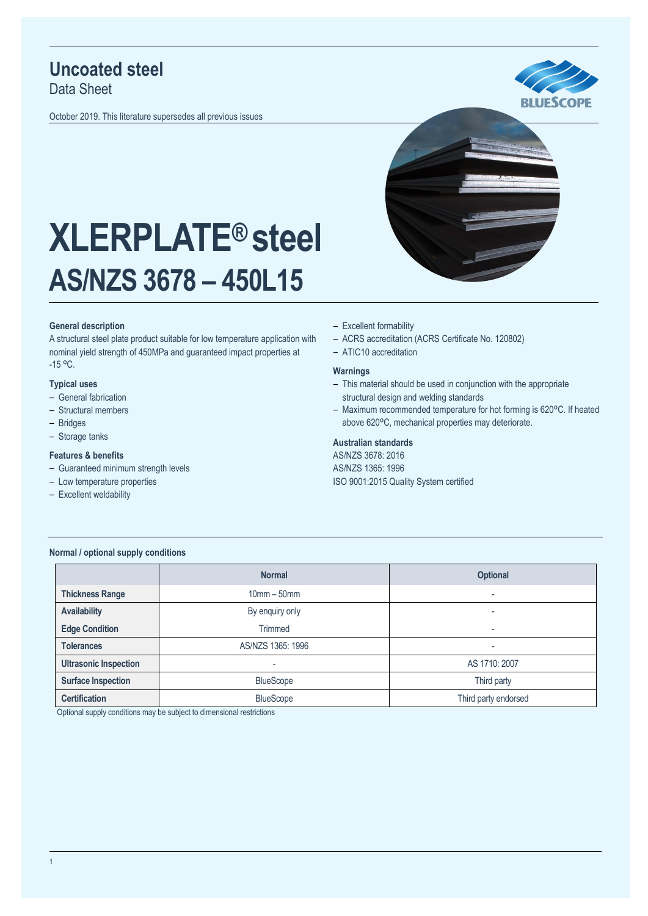## **Uncoated steel**

Data Sheet

October 2019. This literature supersedes all previous issues





# **XLERPLATE® steel AS/NZS 3678 – 450L15**

#### **General description**

A structural steel plate product suitable for low temperature application with nominal yield strength of 450MPa and guaranteed impact properties at  $-15 °C$ .

#### **Typical uses**

- General fabrication
- Structural members
- ‒ Bridges
- Storage tanks

#### **Features & benefits**

- Guaranteed minimum strength levels
- Low temperature properties
- Excellent weldability
- Excellent formability
- ‒ ACRS accreditation (ACRS Certificate No. 120802)
- ATIC10 accreditation

#### **Warnings**

- This material should be used in conjunction with the appropriate structural design and welding standards
- Maximum recommended temperature for hot forming is 620°C. If heated above 620°C, mechanical properties may deteriorate.

#### **Australian standards**

AS/NZS 3678: 2016 AS/NZS 1365: 1996 ISO 9001:2015 Quality System certified

#### **Normal / optional supply conditions**

|                              | <b>Normal</b>            | <b>Optional</b>      |  |
|------------------------------|--------------------------|----------------------|--|
| <b>Thickness Range</b>       | $10mm - 50mm$            | ۰                    |  |
| <b>Availability</b>          | By enquiry only          | ۰                    |  |
| <b>Edge Condition</b>        | Trimmed                  | ۰                    |  |
| <b>Tolerances</b>            | AS/NZS 1365: 1996        | ۰                    |  |
| <b>Ultrasonic Inspection</b> | $\overline{\phantom{a}}$ | AS 1710: 2007        |  |
| <b>Surface Inspection</b>    | <b>BlueScope</b>         | Third party          |  |
| <b>Certification</b>         | <b>BlueScope</b>         | Third party endorsed |  |

Optional supply conditions may be subject to dimensional restrictions